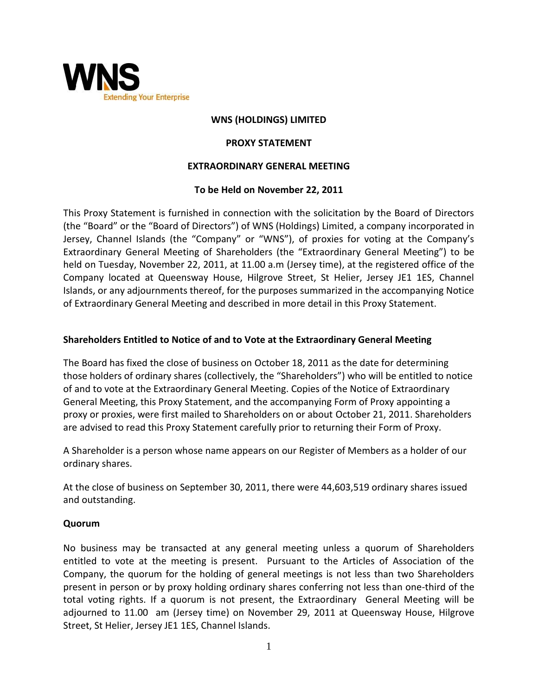

# **WNS (HOLDINGS) LIMITED**

#### **PROXY STATEMENT**

#### **EXTRAORDINARY GENERAL MEETING**

#### **To be Held on November 22, 2011**

This Proxy Statement is furnished in connection with the solicitation by the Board of Directors (the "Board" or the "Board of Directors") of WNS (Holdings) Limited, a company incorporated in Jersey, Channel Islands (the "Company" or "WNS"), of proxies for voting at the Company's Extraordinary General Meeting of Shareholders (the "Extraordinary General Meeting") to be held on Tuesday, November 22, 2011, at 11.00 a.m (Jersey time), at the registered office of the Company located at Queensway House, Hilgrove Street, St Helier, Jersey JE1 1ES, Channel Islands, or any adjournments thereof, for the purposes summarized in the accompanying Notice of Extraordinary General Meeting and described in more detail in this Proxy Statement.

## **Shareholders Entitled to Notice of and to Vote at the Extraordinary General Meeting**

The Board has fixed the close of business on October 18, 2011 as the date for determining those holders of ordinary shares (collectively, the "Shareholders") who will be entitled to notice of and to vote at the Extraordinary General Meeting. Copies of the Notice of Extraordinary General Meeting, this Proxy Statement, and the accompanying Form of Proxy appointing a proxy or proxies, were first mailed to Shareholders on or about October 21, 2011. Shareholders are advised to read this Proxy Statement carefully prior to returning their Form of Proxy.

A Shareholder is a person whose name appears on our Register of Members as a holder of our ordinary shares.

At the close of business on September 30, 2011, there were 44,603,519 ordinary shares issued and outstanding.

#### **Quorum**

No business may be transacted at any general meeting unless a quorum of Shareholders entitled to vote at the meeting is present. Pursuant to the Articles of Association of the Company, the quorum for the holding of general meetings is not less than two Shareholders present in person or by proxy holding ordinary shares conferring not less than one-third of the total voting rights. If a quorum is not present, the Extraordinary General Meeting will be adjourned to 11.00 am (Jersey time) on November 29, 2011 at Queensway House, Hilgrove Street, St Helier, Jersey JE1 1ES, Channel Islands.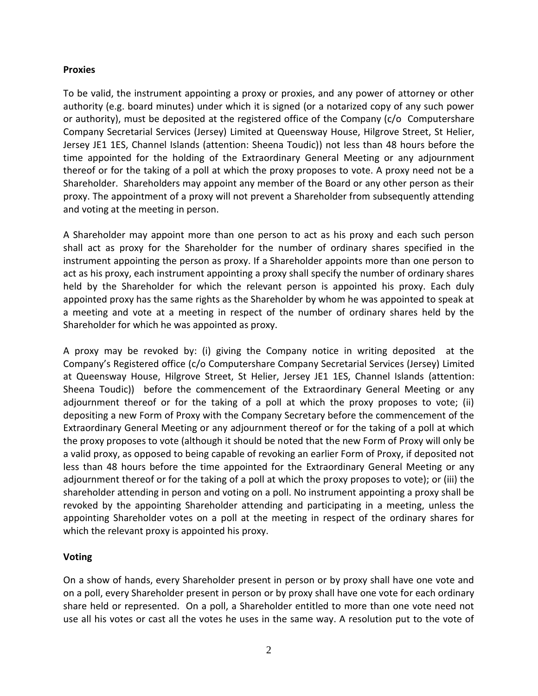#### **Proxies**

To be valid, the instrument appointing a proxy or proxies, and any power of attorney or other authority (e.g. board minutes) under which it is signed (or a notarized copy of any such power or authority), must be deposited at the registered office of the Company (c/o Computershare Company Secretarial Services (Jersey) Limited at Queensway House, Hilgrove Street, St Helier, Jersey JE1 1ES, Channel Islands (attention: Sheena Toudic)) not less than 48 hours before the time appointed for the holding of the Extraordinary General Meeting or any adjournment thereof or for the taking of a poll at which the proxy proposes to vote. A proxy need not be a Shareholder. Shareholders may appoint any member of the Board or any other person as their proxy. The appointment of a proxy will not prevent a Shareholder from subsequently attending and voting at the meeting in person.

A Shareholder may appoint more than one person to act as his proxy and each such person shall act as proxy for the Shareholder for the number of ordinary shares specified in the instrument appointing the person as proxy. If a Shareholder appoints more than one person to act as his proxy, each instrument appointing a proxy shall specify the number of ordinary shares held by the Shareholder for which the relevant person is appointed his proxy. Each duly appointed proxy has the same rights as the Shareholder by whom he was appointed to speak at a meeting and vote at a meeting in respect of the number of ordinary shares held by the Shareholder for which he was appointed as proxy.

A proxy may be revoked by: (i) giving the Company notice in writing deposited at the Company's Registered office (c/o Computershare Company Secretarial Services (Jersey) Limited at Queensway House, Hilgrove Street, St Helier, Jersey JE1 1ES, Channel Islands (attention: Sheena Toudic)) before the commencement of the Extraordinary General Meeting or any adjournment thereof or for the taking of a poll at which the proxy proposes to vote; (ii) depositing a new Form of Proxy with the Company Secretary before the commencement of the Extraordinary General Meeting or any adjournment thereof or for the taking of a poll at which the proxy proposes to vote (although it should be noted that the new Form of Proxy will only be a valid proxy, as opposed to being capable of revoking an earlier Form of Proxy, if deposited not less than 48 hours before the time appointed for the Extraordinary General Meeting or any adjournment thereof or for the taking of a poll at which the proxy proposes to vote); or (iii) the shareholder attending in person and voting on a poll. No instrument appointing a proxy shall be revoked by the appointing Shareholder attending and participating in a meeting, unless the appointing Shareholder votes on a poll at the meeting in respect of the ordinary shares for which the relevant proxy is appointed his proxy.

## **Voting**

On a show of hands, every Shareholder present in person or by proxy shall have one vote and on a poll, every Shareholder present in person or by proxy shall have one vote for each ordinary share held or represented. On a poll, a Shareholder entitled to more than one vote need not use all his votes or cast all the votes he uses in the same way. A resolution put to the vote of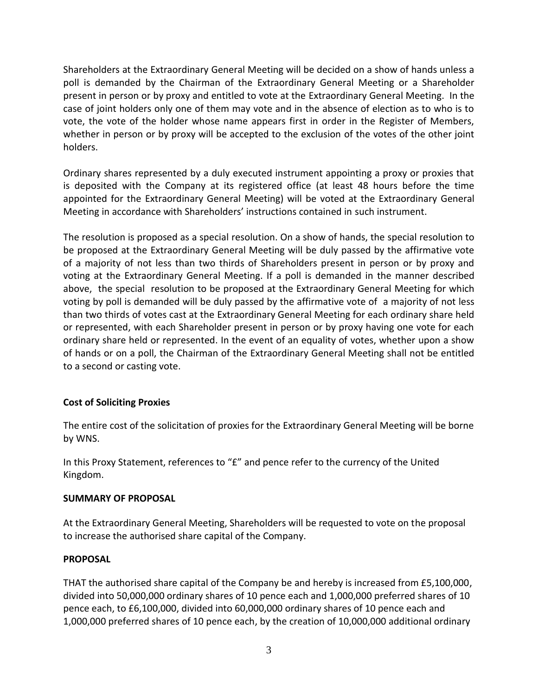Shareholders at the Extraordinary General Meeting will be decided on a show of hands unless a poll is demanded by the Chairman of the Extraordinary General Meeting or a Shareholder present in person or by proxy and entitled to vote at the Extraordinary General Meeting. In the case of joint holders only one of them may vote and in the absence of election as to who is to vote, the vote of the holder whose name appears first in order in the Register of Members, whether in person or by proxy will be accepted to the exclusion of the votes of the other joint holders.

Ordinary shares represented by a duly executed instrument appointing a proxy or proxies that is deposited with the Company at its registered office (at least 48 hours before the time appointed for the Extraordinary General Meeting) will be voted at the Extraordinary General Meeting in accordance with Shareholders' instructions contained in such instrument.

The resolution is proposed as a special resolution. On a show of hands, the special resolution to be proposed at the Extraordinary General Meeting will be duly passed by the affirmative vote of a majority of not less than two thirds of Shareholders present in person or by proxy and voting at the Extraordinary General Meeting. If a poll is demanded in the manner described above, the special resolution to be proposed at the Extraordinary General Meeting for which voting by poll is demanded will be duly passed by the affirmative vote of a majority of not less than two thirds of votes cast at the Extraordinary General Meeting for each ordinary share held or represented, with each Shareholder present in person or by proxy having one vote for each ordinary share held or represented. In the event of an equality of votes, whether upon a show of hands or on a poll, the Chairman of the Extraordinary General Meeting shall not be entitled to a second or casting vote.

# **Cost of Soliciting Proxies**

The entire cost of the solicitation of proxies for the Extraordinary General Meeting will be borne by WNS.

In this Proxy Statement, references to "£" and pence refer to the currency of the United Kingdom.

## **SUMMARY OF PROPOSAL**

At the Extraordinary General Meeting, Shareholders will be requested to vote on the proposal to increase the authorised share capital of the Company.

## **PROPOSAL**

THAT the authorised share capital of the Company be and hereby is increased from £5,100,000, divided into 50,000,000 ordinary shares of 10 pence each and 1,000,000 preferred shares of 10 pence each, to £6,100,000, divided into 60,000,000 ordinary shares of 10 pence each and 1,000,000 preferred shares of 10 pence each, by the creation of 10,000,000 additional ordinary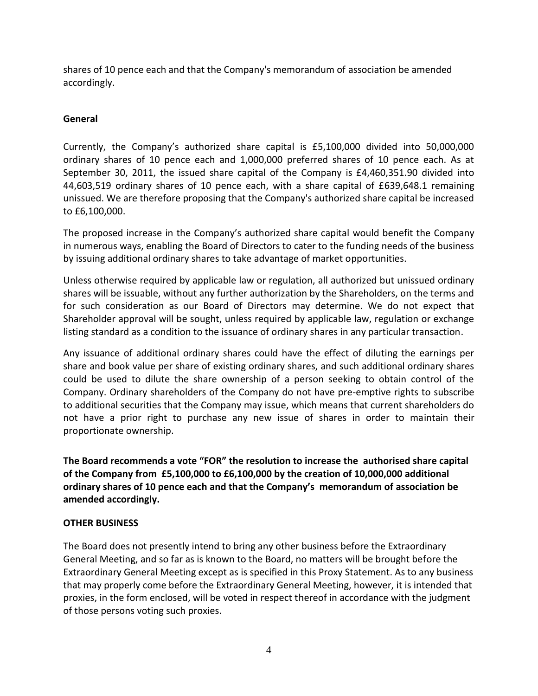shares of 10 pence each and that the Company's memorandum of association be amended accordingly.

# **General**

Currently, the Company's authorized share capital is £5,100,000 divided into 50,000,000 ordinary shares of 10 pence each and 1,000,000 preferred shares of 10 pence each. As at September 30, 2011, the issued share capital of the Company is £4,460,351.90 divided into 44,603,519 ordinary shares of 10 pence each, with a share capital of £639,648.1 remaining unissued. We are therefore proposing that the Company's authorized share capital be increased to £6,100,000.

The proposed increase in the Company's authorized share capital would benefit the Company in numerous ways, enabling the Board of Directors to cater to the funding needs of the business by issuing additional ordinary shares to take advantage of market opportunities.

Unless otherwise required by applicable law or regulation, all authorized but unissued ordinary shares will be issuable, without any further authorization by the Shareholders, on the terms and for such consideration as our Board of Directors may determine. We do not expect that Shareholder approval will be sought, unless required by applicable law, regulation or exchange listing standard as a condition to the issuance of ordinary shares in any particular transaction.

Any issuance of additional ordinary shares could have the effect of diluting the earnings per share and book value per share of existing ordinary shares, and such additional ordinary shares could be used to dilute the share ownership of a person seeking to obtain control of the Company. Ordinary shareholders of the Company do not have pre-emptive rights to subscribe to additional securities that the Company may issue, which means that current shareholders do not have a prior right to purchase any new issue of shares in order to maintain their proportionate ownership.

**The Board recommends a vote "FOR" the resolution to increase the authorised share capital of the Company from £5,100,000 to £6,100,000 by the creation of 10,000,000 additional ordinary shares of 10 pence each and that the Company's memorandum of association be amended accordingly.**

# **OTHER BUSINESS**

The Board does not presently intend to bring any other business before the Extraordinary General Meeting, and so far as is known to the Board, no matters will be brought before the Extraordinary General Meeting except as is specified in this Proxy Statement. As to any business that may properly come before the Extraordinary General Meeting, however, it is intended that proxies, in the form enclosed, will be voted in respect thereof in accordance with the judgment of those persons voting such proxies.